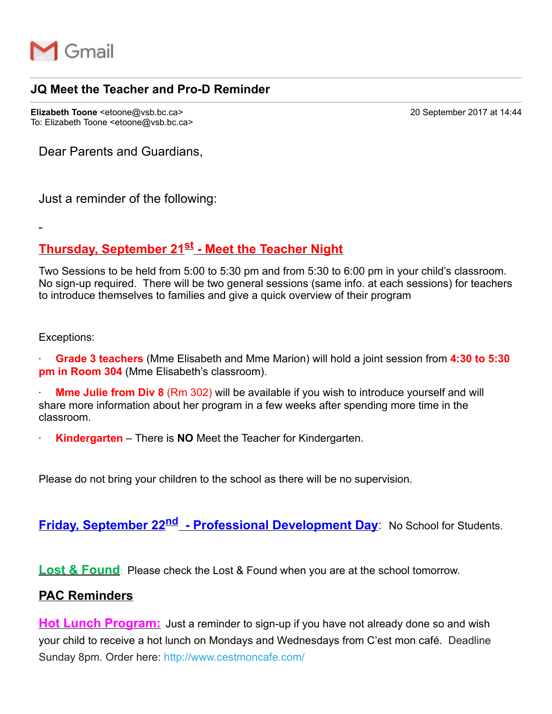

## **JQ Meet the Teacher and Pro-D Reminder**

**Elizabeth Toone** <etoone@vsb.bc.ca> 20 September 2017 at 14:44 To: Elizabeth Toone <etoone@vsb.bc.ca>

Dear Parents and Guardians,

Just a reminder of the following:

# **Thursday, September 21st Meet the Teacher Night**

Two Sessions to be held from 5:00 to 5:30 pm and from 5:30 to 6:00 pm in your child's classroom. No sign-up required. There will be two general sessions (same info. at each sessions) for teachers to introduce themselves to families and give a quick overview of their program

Exceptions:

· **Grade 3 teachers** (Mme Elisabeth and Mme Marion) will hold a joint session from **4:30 to 5:30 pm in Room 304** (Mme Elisabeth's classroom).

**Mme Julie from Div 8** (Rm 302) will be available if you wish to introduce yourself and will share more information about her program in a few weeks after spending more time in the classroom.

**Kindergarten** – There is **NO** Meet the Teacher for Kindergarten.

Please do not bring your children to the school as there will be no supervision.

**Friday, September 22nd Professional Development Day**: No School for Students.

**Lost & Found**: Please check the Lost & Found when you are at the school tomorrow.

### **PAC Reminders**

**Hot Lunch Program:** Just a reminder to sign-up if you have not already done so and wish your child to receive a hot lunch on Mondays and Wednesdays from C'est mon café. Deadline Sunday 8pm. Order here: http://www.cestmoncafe.com/